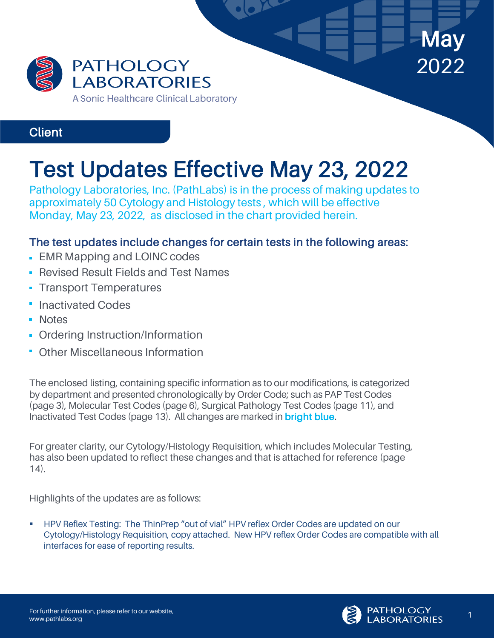

Communication

# Test Updates Effective May 23, 2022 Pathology Laboratories, Inc. (PathLabs) is in the process of making updates to

approximately 50 Cytology and Histology tests , which will be effective Monday, May 23, 2022, as disclosed in the chart provided herein.

#### The test updates include changes for certain tests in the following areas:

- **EMR Mapping and LOINC codes**
- **Revised Result Fields and Test Names**
- **Transport Temperatures**
- Inactivated Codes
- **Notes**
- **Ordering Instruction/Information**
- **Other Miscellaneous Information**

The enclosed listing, containing specific information as to our modifications, is categorized by department and presented chronologically by Order Code; such as PAP Test Codes (page 3), Molecular Test Codes (page 6), Surgical Pathology Test Codes (page 11), and Inactivated Test Codes (page 13). All changes are marked in bright blue.

For greater clarity, our Cytology/Histology Requisition, which includes Molecular Testing, has also been updated to reflect these changes and that is attached for reference (page 14).

Highlights of the updates are as follows:

§ HPV Reflex Testing: The ThinPrep "out of vial" HPV reflex Order Codes are updated on our Cytology/Histology Requisition, copy attached. New HPV reflex Order Codes are compatible with all interfaces for ease of reporting results.



May

2022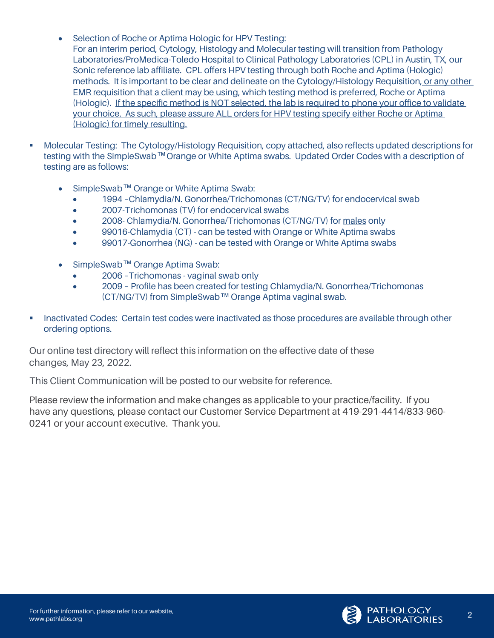- Selection of Roche or Aptima Hologic for HPV Testing: For an interim period, Cytology, Histology and Molecular testing will transition from Pathology Laboratories/ProMedica-Toledo Hospital to Clinical Pathology Laboratories (CPL) in Austin, TX, our Sonic reference lab affiliate. CPL offers HPV testing through both Roche and Aptima (Hologic) methods. It is important to be clear and delineate on the Cytology/Histology Requisition, or any other EMR requisition that a client may be using, which testing method is preferred, Roche or Aptima (Hologic). If the specific method is NOT selected, the lab is required to phone your office to validate your choice. As such, please assure ALL orders for HPV testing specify either Roche or Aptima (Hologic) for timely resulting.
- § Molecular Testing: The Cytology/Histology Requisition, copy attached, also reflects updated descriptions for testing with the SimpleSwab **TM** Orange or White Aptima swabs. Updated Order Codes with a description of testing are as follows:
	- SimpleSwab **TM** Orange or White Aptima Swab:
		- 1994 –Chlamydia/N. Gonorrhea/Trichomonas (CT/NG/TV) for endocervical swab
		- 2007-Trichomonas (TV) for endocervical swabs
		- 2008- Chlamydia/N. Gonorrhea/Trichomonas (CT/NG/TV) for males only
		- 99016-Chlamydia (CT) can be tested with Orange or White Aptima swabs
		- 99017-Gonorrhea (NG) can be tested with Orange or White Aptima swabs
	- SimpleSwab **TM** Orange Aptima Swab:
		- 2006 –Trichomonas vaginal swab only
		- 2009 Profile has been created for testing Chlamydia/N. Gonorrhea/Trichomonas (CT/NG/TV) from SimpleSwab **TM** Orange Aptima vaginal swab.
- **■** Inactivated Codes: Certain test codes were inactivated as those procedures are available through other ordering options.

Our online test directory will reflect this information on the effective date of these changes, May 23, 2022.

This Client Communication will be posted to our website for reference.

Please review the information and make changes as applicable to your practice/facility. If you have any questions, please contact our Customer Service Department at 419-291-4414/833-960- 0241 or your account executive. Thank you.

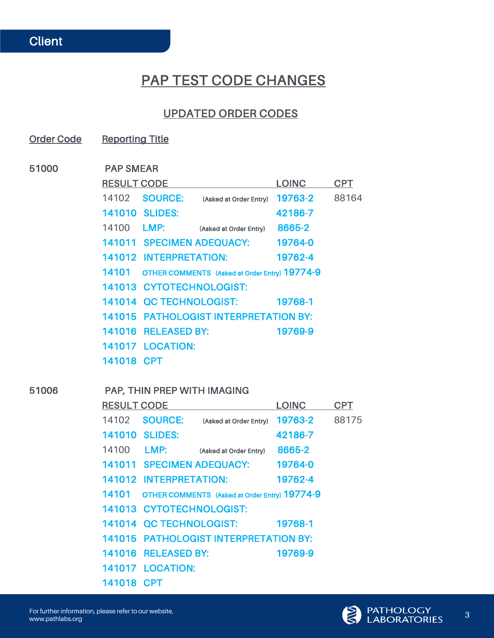# PAP TEST CODE CHANGES

#### UPDATED ORDER CODES

Order Code Reporting Title

51000 PAP SMEAR

| <b>RESULT CODE</b> |                           |                                               | <b>LOINC</b> | <b>CPT</b> |
|--------------------|---------------------------|-----------------------------------------------|--------------|------------|
| 14102              | <b>SOURCE:</b>            | (Asked at Order Entry)                        | 19763-2      | 88164      |
|                    | <b>141010 SLIDES:</b>     |                                               | 42186-7      |            |
| 14100              | LMP:                      | (Asked at Order Entry)                        | 8665-2       |            |
|                    | 141011 SPECIMEN ADEQUACY: |                                               | 19764-0      |            |
|                    | 141012 INTERPRETATION:    |                                               | 19762-4      |            |
| 14101              |                           | OTHER COMMENTS (Asked at Order Entry) 19774-9 |              |            |
|                    | 141013 CYTOTECHNOLOGIST:  |                                               |              |            |
|                    | 141014 OC TECHNOLOGIST:   |                                               | 19768-1      |            |
|                    |                           | 141015 PATHOLOGIST INTERPRETATION BY:         |              |            |
|                    | 141016 RELEASED BY:       |                                               | 19769-9      |            |
|                    | <b>141017 LOCATION:</b>   |                                               |              |            |
| 141018 CPT         |                           |                                               |              |            |

#### 51006 PAP, THIN PREP WITH IMAGING

| <b>RESULT CODE</b> |                          |                                               | LOINC   | CPT   |
|--------------------|--------------------------|-----------------------------------------------|---------|-------|
| 14102              | <b>SOURCE:</b>           | (Asked at Order Entry)                        | 19763-2 | 88175 |
|                    | <b>141010 SLIDES:</b>    |                                               | 42186-7 |       |
| 14100              | <b>LMP:</b>              | (Asked at Order Entry)                        | 8665-2  |       |
|                    |                          | 141011 SPECIMEN ADEQUACY:                     | 19764-0 |       |
|                    | 141012 INTERPRETATION:   |                                               | 19762-4 |       |
| 14101              |                          | OTHER COMMENTS (Asked at Order Entry) 19774-9 |         |       |
|                    | 141013 CYTOTECHNOLOGIST: |                                               |         |       |
|                    | 141014 OC TECHNOLOGIST:  |                                               | 19768-1 |       |
|                    |                          | <b>141015 PATHOLOGIST INTERPRETATION BY:</b>  |         |       |
|                    | 141016 RELEASED BY:      |                                               | 19769-9 |       |
|                    | <b>141017 LOCATION:</b>  |                                               |         |       |
| 141018 CPT         |                          |                                               |         |       |



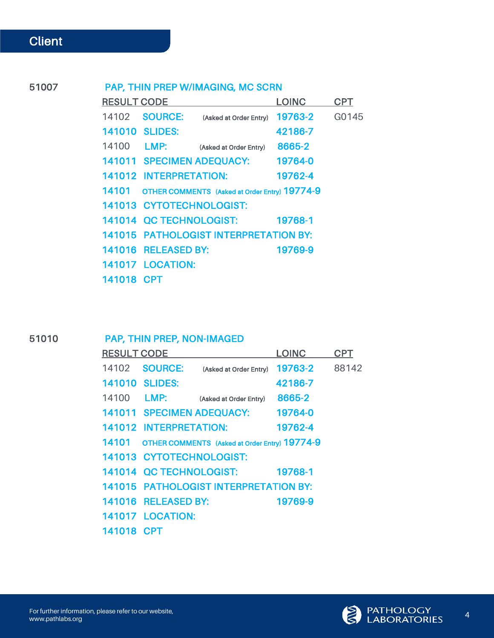#### 51007 PAP, THIN PREP W/IMAGING, MC SCRN

| <b>RESULT CODE</b> |                               |                                               | <b>LOINC</b> | CPT   |
|--------------------|-------------------------------|-----------------------------------------------|--------------|-------|
| 14102              | <b>SOURCE:</b>                | (Asked at Order Entry)                        | 19763-2      | G0145 |
|                    | <b>141010 SLIDES:</b>         |                                               | 42186-7      |       |
| 14100              | LMP:                          | (Asked at Order Entry)                        | 8665-2       |       |
|                    |                               | 141011 SPECIMEN ADEQUACY:                     | 19764-0      |       |
|                    | <b>141012 INTERPRETATION:</b> |                                               | 19762-4      |       |
| 14101              |                               | OTHER COMMENTS (Asked at Order Entry) 19774-9 |              |       |
|                    | 141013 CYTOTECHNOLOGIST:      |                                               |              |       |
|                    | 141014 QC TECHNOLOGIST:       |                                               | 19768-1      |       |
|                    |                               | <b>141015 PATHOLOGIST INTERPRETATION BY:</b>  |              |       |
|                    | 141016 RELEASED BY:           |                                               | 19769-9      |       |
|                    | <b>141017 LOCATION:</b>       |                                               |              |       |
| 141018 CPT         |                               |                                               |              |       |

l,

#### 51010 PAP, THIN PREP, NON-IMAGED

| <b>RESULT CODE</b> |                          |                                               | <b>LOINC</b> | CPT   |
|--------------------|--------------------------|-----------------------------------------------|--------------|-------|
| 14102              | <b>SOURCE:</b>           | (Asked at Order Entry)                        | 19763-2      | 88142 |
| 141010             | <b>SLIDES:</b>           |                                               | 42186-7      |       |
| 14100              | <b>LMP:</b>              | (Asked at Order Entry)                        | 8665-2       |       |
|                    |                          | 141011 SPECIMEN ADEQUACY:                     | 19764-0      |       |
|                    | 141012 INTERPRETATION:   |                                               | 19762-4      |       |
| 14101              |                          | OTHER COMMENTS (Asked at Order Entry) 19774-9 |              |       |
|                    | 141013 CYTOTECHNOLOGIST: |                                               |              |       |
|                    | 141014 OC TECHNOLOGIST:  |                                               | 19768-1      |       |
|                    |                          | <b>141015 PATHOLOGIST INTERPRETATION BY:</b>  |              |       |
|                    | 141016 RELEASED BY:      |                                               | 19769-9      |       |
|                    | <b>141017 LOCATION:</b>  |                                               |              |       |
| 141018 CPT         |                          |                                               |              |       |

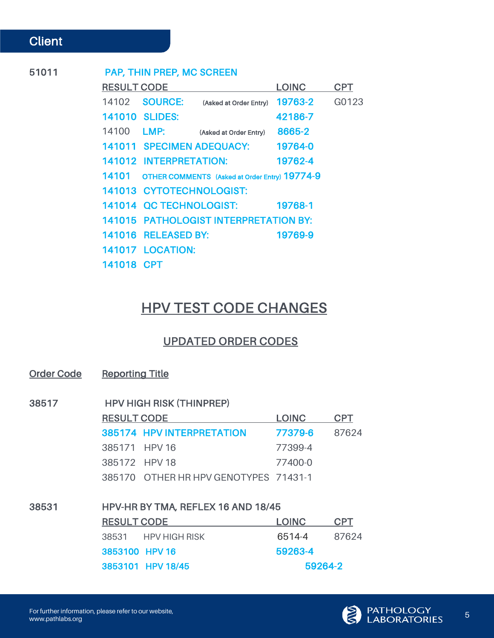Communication

#### 51011 PAP, THIN PREP, MC SCREEN

| <b>RESULT CODE</b> |                               |                                               | <b>LOINC</b> | CPT   |
|--------------------|-------------------------------|-----------------------------------------------|--------------|-------|
| 14102              | <b>SOURCE:</b>                | (Asked at Order Entry)                        | 19763-2      | G0123 |
|                    | 141010 SLIDES:                |                                               | 42186-7      |       |
| 14100              | LMP:                          | (Asked at Order Entry)                        | 8665-2       |       |
|                    | 141011 SPECIMEN ADEQUACY:     |                                               | 19764-0      |       |
|                    | <b>141012 INTERPRETATION:</b> |                                               | 19762-4      |       |
| 14101              |                               | OTHER COMMENTS (Asked at Order Entry) 19774-9 |              |       |
|                    | 141013 CYTOTECHNOLOGIST:      |                                               |              |       |
|                    | 141014 OC TECHNOLOGIST:       |                                               | 19768-1      |       |
|                    |                               | <b>141015 PATHOLOGIST INTERPRETATION BY:</b>  |              |       |
|                    | 141016 RELEASED BY:           |                                               | 19769-9      |       |
|                    | <b>141017 LOCATION:</b>       |                                               |              |       |
| 141018 CPT         |                               |                                               |              |       |

# HPV TEST CODE CHANGES

#### UPDATED ORDER CODES

Order Code Reporting Title

| 38517 | <b>HPV HIGH RISK (THINPREP)</b> |                                       |              |            |  |
|-------|---------------------------------|---------------------------------------|--------------|------------|--|
|       | <b>RESULT CODE</b>              |                                       | <b>LOINC</b> | <b>CPT</b> |  |
|       |                                 | 385174 HPV INTERPRETATION             | 77379-6      | 87624      |  |
|       | 385171 HPV 16                   |                                       | 77399-4      |            |  |
|       | 385172 HPV 18                   |                                       | 77400-0      |            |  |
|       |                                 | 385170 OTHER HR HPV GENOTYPES 71431-1 |              |            |  |
|       |                                 |                                       |              |            |  |

| 38531 | HPV-HR BY TMA, REFLEX 16 AND 18/45 |              |            |  |  |  |
|-------|------------------------------------|--------------|------------|--|--|--|
|       | <b>RESULT CODE</b>                 | <b>LOINC</b> | <b>CPT</b> |  |  |  |
|       | 38531 HPV HIGH RISK                | 6514-4       | 87624      |  |  |  |
|       | 3853100 HPV 16                     | 59263-4      |            |  |  |  |
|       | 3853101 HPV 18/45                  |              | 59264-2    |  |  |  |

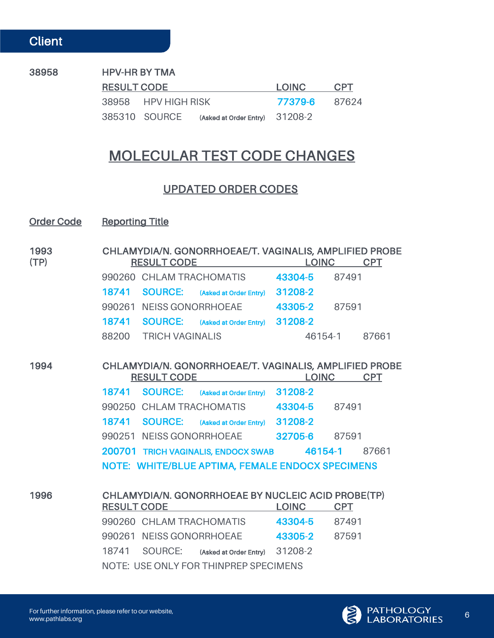#### 38958 HPV-HR BY TMA

Communication

| <b>RESULT CODE</b> |                     |                                              | LOINC.               | <b>CPT</b> |
|--------------------|---------------------|----------------------------------------------|----------------------|------------|
|                    | 38958 HPV HIGH RISK |                                              | <b>77379-6</b> 87624 |            |
|                    |                     | 385310 SOURCE (Asked at Order Entry) 31208-2 |                      |            |

# MOLECULAR TEST CODE CHANGES

#### UPDATED ORDER CODES

#### Order Code Reporting Title

| 1993<br>(TP) | CHLAMYDIA/N. GONORRHOEAE/T. VAGINALIS, AMPLIFIED PROBE<br><b>RESULT CODE</b><br><b>LOINC</b><br><b>CPT</b> |  |
|--------------|------------------------------------------------------------------------------------------------------------|--|
|              | 990260 CHLAM TRACHOMATIS<br>43304-5<br>87491                                                               |  |
|              | 31208-2<br>18741<br><b>SOURCE:</b><br>(Asked at Order Entry)                                               |  |
|              | 990261<br><b>NEISS GONORRHOEAE</b><br>43305-2<br>87591                                                     |  |
|              | SOURCE: (Asked at Order Entry) 31208-2<br>18741                                                            |  |
|              | 88200<br><b>TRICH VAGINALIS</b><br>46154-1<br>87661                                                        |  |
|              |                                                                                                            |  |
| 1994         | CHLAMYDIA/N. GONORRHOEAE/T. VAGINALIS, AMPLIFIED PROBE<br><b>LOINC</b><br><b>RESULT CODE</b><br><b>CPT</b> |  |
|              | SOURCE: (Asked at Order Entry) 31208-2<br>18741                                                            |  |
|              | 990250 CHLAM TRACHOMATIS<br>43304-5<br>87491                                                               |  |
|              | <b>SOURCE:</b> (Asked at Order Entry)<br>31208-2<br>18741                                                  |  |
|              | 990251 NEISS GONORRHOEAE<br>32705-6<br>87591                                                               |  |
|              | 200701 TRICH VAGINALIS, ENDOCX SWAB<br>46154-1<br>87661                                                    |  |
|              | NOTE: WHITE/BLUE APTIMA, FEMALE ENDOCX SPECIMENS                                                           |  |
|              |                                                                                                            |  |
| 1996         | CHLAMYDIA/N. GONORRHOEAE BY NUCLEIC ACID PROBE(TP)<br><b>LOINC</b><br><b>CPT</b><br><b>RESULT CODE</b>     |  |
|              | 43304-5<br>990260 CHLAM TRACHOMATIS<br>87491                                                               |  |
|              | 43305-2<br>990261 NEISS GONORRHOEAE<br>87591                                                               |  |
|              | (Asked at Order Entry) 31208-2<br>18741<br>SOURCE:                                                         |  |
|              | NOTE: USE ONLY FOR THINPREP SPECIMENS                                                                      |  |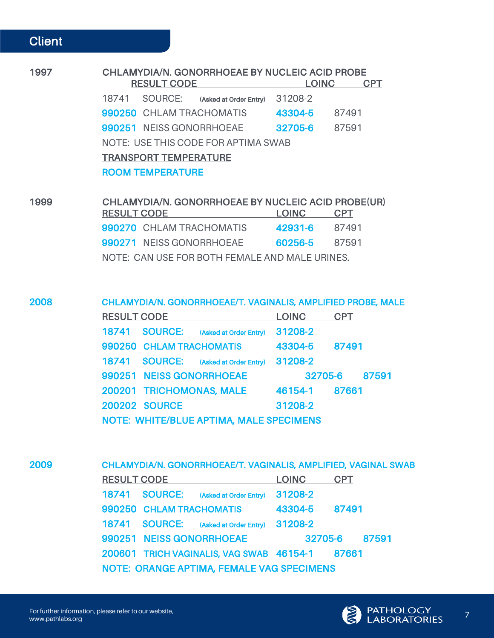Communication

| 1997 | <b>CHLAMYDIA/N. GONORRHOEAE BY NUCLEIC ACID PROBE</b><br><b>RESULT CODE</b><br><b>LOINC</b><br><b>CPT</b> |
|------|-----------------------------------------------------------------------------------------------------------|
|      | 31208-2<br>SOURCE:<br>18741<br>(Asked at Order Entry)                                                     |
|      | 43304-5<br>990250 CHLAM TRACHOMATIS<br>87491                                                              |
|      | 32705-6<br>990251 NEISS GONORRHOEAE<br>87591                                                              |
|      | NOTE: USE THIS CODE FOR APTIMA SWAB                                                                       |
|      | <b>TRANSPORT TEMPERATURE</b>                                                                              |
|      | <b>ROOM TEMPERATURE</b>                                                                                   |
|      |                                                                                                           |
| 1999 | CHLAMYDIA/N. GONORRHOEAE BY NUCLEIC ACID PROBE(UR)                                                        |

| <b>RESULT CODE</b> |                                                | <b>LOINC</b>  | <b>CPT</b> |
|--------------------|------------------------------------------------|---------------|------------|
|                    | 990270 CHLAM TRACHOMATIS                       | 42931-6       | 87491      |
|                    | 990271 NEISS GONORRHOEAE                       | 60256-5 87591 |            |
|                    | NOTE: CAN USE FOR BOTH FEMALE AND MALE URINES. |               |            |

2008 CHLAMYDIA/N. GONORRHOEAE/T. VAGINALIS, AMPLIFIED PROBE, MALE

| <b>RESULT CODE</b> |                          |                                         | <b>LOINC</b> | <b>CPT</b> |
|--------------------|--------------------------|-----------------------------------------|--------------|------------|
| 18741              | <b>SOURCE:</b>           | (Asked at Order Entry)                  | 31208-2      |            |
|                    | 990250 CHLAM TRACHOMATIS |                                         | 43304-5      | 87491      |
| 18741              | <b>SOURCE:</b>           | (Asked at Order Entry)                  | 31208-2      |            |
|                    | 990251 NEISS GONORRHOEAE |                                         | 32705-6      | 87591      |
|                    | 200201 TRICHOMONAS, MALE |                                         | 46154-1      | 87661      |
|                    | <b>200202 SOURCE</b>     |                                         | 31208-2      |            |
|                    |                          | NOTE: WHITE/BLUE APTIMA, MALE SPECIMENS |              |            |

2009 CHLAMYDIA/N. GONORRHOEAE/T. VAGINALIS, AMPLIFIED, VAGINAL SWAB RESULT CODE LOINC CPT 18741 SOURCE: (Asked at Order Entry) 31208-2 990250 CHLAM TRACHOMATIS 43304-5 87491 18741 SOURCE: (Asked at Order Entry) 31208-2 990251 NEISS GONORRHOEAE 32705-6 87591 200601 TRICH VAGINALIS, VAG SWAB 46154-1 87661 NOTE: ORANGE APTIMA, FEMALE VAG SPECIMENS

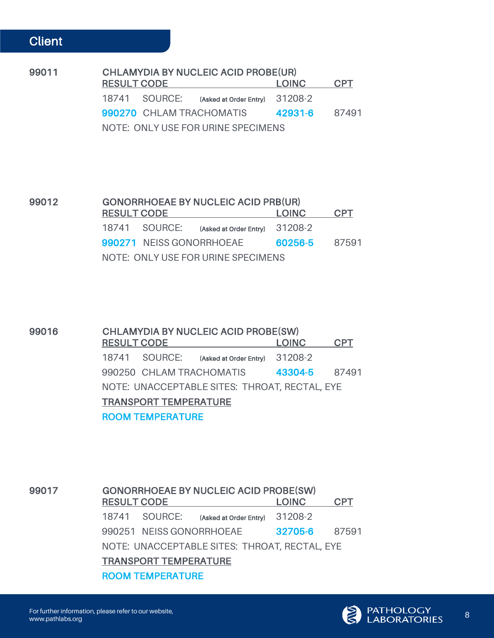| 99011 | <b>CHLAMYDIA BY NUCLEIC ACID PROBE(UR)</b> |                    |                                              |               |            |  |
|-------|--------------------------------------------|--------------------|----------------------------------------------|---------------|------------|--|
|       |                                            | <b>RESULT CODE</b> |                                              | <b>LOINC</b>  | <b>CPT</b> |  |
|       |                                            |                    | 18741 SOURCE: (Asked at Order Entry) 31208-2 |               |            |  |
|       |                                            |                    | 990270 CHLAM TRACHOMATIS                     | 42931-6 87491 |            |  |
|       |                                            |                    | NOTE: ONLY USE FOR URINE SPECIMENS           |               |            |  |

| 99012 | <b>GONORRHOEAE BY NUCLEIC ACID PRB(UR)</b> |                                              |                      |            |  |  |  |
|-------|--------------------------------------------|----------------------------------------------|----------------------|------------|--|--|--|
|       | <b>RESULT CODE</b>                         |                                              |                      | <b>CPT</b> |  |  |  |
|       |                                            | 18741 SOURCE: (Asked at Order Entry) 31208-2 |                      |            |  |  |  |
|       |                                            | 990271 NEISS GONORRHOEAE                     | <b>60256-5</b> 87591 |            |  |  |  |
|       |                                            | NOTE: ONLY USE FOR URINE SPECIMENS           |                      |            |  |  |  |

| 99016 | <b>CHLAMYDIA BY NUCLEIC ACID PROBE(SW)</b>    |                                              |               |            |  |  |  |
|-------|-----------------------------------------------|----------------------------------------------|---------------|------------|--|--|--|
|       | <b>RESULT CODE</b>                            |                                              |               | <b>CPT</b> |  |  |  |
|       |                                               | 18741 SOURCE: (Asked at Order Entry) 31208-2 |               |            |  |  |  |
|       |                                               | 990250 CHLAM TRACHOMATIS                     | 43304-5 87491 |            |  |  |  |
|       | NOTE: UNACCEPTABLE SITES: THROAT, RECTAL, EYE |                                              |               |            |  |  |  |
|       | <b>TRANSPORT TEMPERATURE</b>                  |                                              |               |            |  |  |  |
|       | <b>ROOM TEMPERATURE</b>                       |                                              |               |            |  |  |  |

| 99017 |       | <b>GONORRHOEAE BY NUCLEIC ACID PROBE(SW)</b>  |                                |         |            |  |  |
|-------|-------|-----------------------------------------------|--------------------------------|---------|------------|--|--|
|       |       | <b>RESULT CODE</b>                            |                                |         | <b>CPT</b> |  |  |
|       | 18741 | SOURCE:                                       | (Asked at Order Entry) 31208-2 |         |            |  |  |
|       |       | 990251 NEISS GONORRHOEAE                      |                                | 32705-6 | 87591      |  |  |
|       |       | NOTE: UNACCEPTABLE SITES: THROAT, RECTAL, EYE |                                |         |            |  |  |
|       |       | <b>TRANSPORT TEMPERATURE</b>                  |                                |         |            |  |  |
|       |       | <b>ROOM TEMPERATURE</b>                       |                                |         |            |  |  |



 $\overline{a}$ 

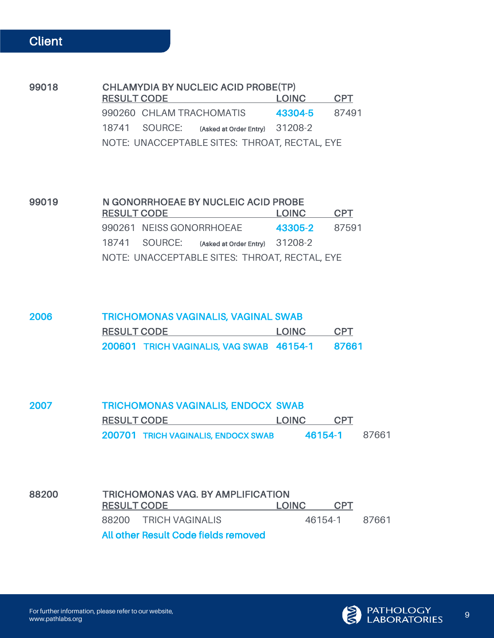99018 CHLAMYDIA BY NUCLEIC ACID PROBE(TP) RESULT CODE LOINC CPT 990260 CHLAM TRACHOMATIS 43304-5 87491 18741 SOURCE: (Asked at Order Entry) 31208-2 NOTE: UNACCEPTABLE SITES: THROAT, RECTAL, EYE

| 99019 | N GONORRHOEAE BY NUCLEIC ACID PROBE |  |                                               |               |            |  |
|-------|-------------------------------------|--|-----------------------------------------------|---------------|------------|--|
|       | <b>RESULT CODE</b>                  |  |                                               | LOINC.        | <b>CPT</b> |  |
|       |                                     |  | 990261 NEISS GONORRHOEAE                      | 43305-2 87591 |            |  |
|       |                                     |  | 18741 SOURCE: (Asked at Order Entry) 31208-2  |               |            |  |
|       |                                     |  | NOTE: UNACCEPTABLE SITES: THROAT, RECTAL, EYE |               |            |  |

| 2006 | <b>TRICHOMONAS VAGINALIS, VAGINAL SWAB</b> |        |            |  |  |  |
|------|--------------------------------------------|--------|------------|--|--|--|
|      | <b>RESULT CODE</b>                         | LOINC. | <b>CPT</b> |  |  |  |
|      | 200601 TRICH VAGINALIS, VAG SWAB 46154-1   |        | 87661      |  |  |  |

| 2007 |                                     | TRICHOMONAS VAGINALIS, ENDOCX SWAB |            |       |  |  |
|------|-------------------------------------|------------------------------------|------------|-------|--|--|
|      | <b>RESULT CODE</b>                  | LOINC <b>LO</b>                    | <b>CPT</b> |       |  |  |
|      | 200701 TRICH VAGINALIS, ENDOCX SWAB |                                    | 46154-1    | 87661 |  |  |

| 88200 |                                      | <b>TRICHOMONAS VAG. BY AMPLIFICATION</b> |            |       |  |  |  |  |
|-------|--------------------------------------|------------------------------------------|------------|-------|--|--|--|--|
|       | <b>RESULT CODE</b>                   | TOINC.                                   | <b>CPT</b> |       |  |  |  |  |
|       | 88200 TRICH VAGINALIS                |                                          | 46154-1    | 87661 |  |  |  |  |
|       | All other Result Code fields removed |                                          |            |       |  |  |  |  |

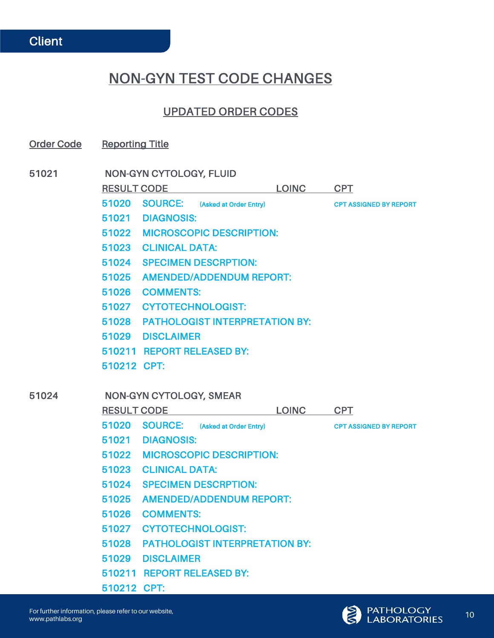# NON-GYN TEST CODE CHANGES

#### UPDATED ORDER CODES

Order Code Reporting Title

51021 NON-GYN CYTOLOGY, FLUID RESULT CODE LOINC CPT

> 51020 SOURCE: (Asked at Order Entry) CPT ASSIGNED BY REPORT 51021 DIAGNOSIS: 51022 MICROSCOPIC DESCRIPTION: 51023 CLINICAL DATA:

- 51024 SPECIMEN DESCRPTION:
- 51025 AMENDED/ADDENDUM REPORT:
- 51026 COMMENTS:
- 51027 CYTOTECHNOLOGIST:
- 51028 PATHOLOGIST INTERPRETATION BY:
- 51029 DISCLAIMER
- 510211 REPORT RELEASED BY:
- 510212 CPT:

#### 51024 NON-GYN CYTOLOGY, SMEAR RESULT CODE LOINC CPT 51020 SOURCE: (Asked at Order Entry) CPT ASSIGNED BY REPORT 51021 DIAGNOSIS: 51022 MICROSCOPIC DESCRIPTION: 51023 CLINICAL DATA: 51024 SPECIMEN DESCRPTION: 51025 AMENDED/ADDENDUM REPORT: 51026 COMMENTS: 51027 CYTOTECHNOLOGIST: 51028 PATHOLOGIST INTERPRETATION BY: 51029 DISCLAIMER

- 510211 REPORT RELEASED BY:
- 510212 CPT:

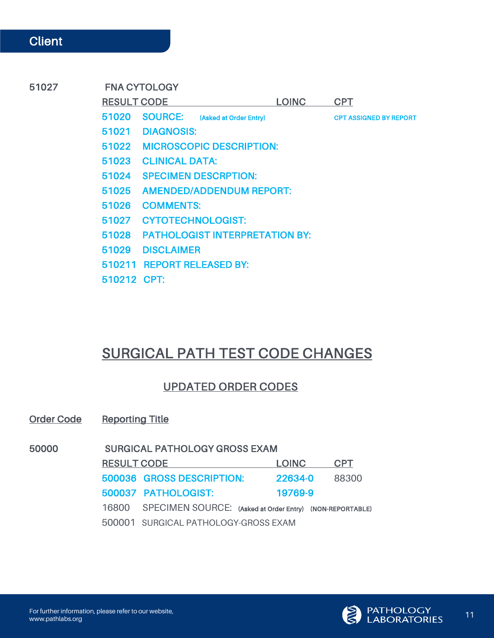### 51027 FNA CYTOLOGY RESULT CODE LOINC CPT 51020 SOURCE: (Asked at Order Entry) CPT ASSIGNED BY REPORT 51021 DIAGNOSIS: 51022 MICROSCOPIC DESCRIPTION: 51023 CLINICAL DATA: 51024 SPECIMEN DESCRPTION: 51025 AMENDED/ADDENDUM REPORT: 51026 COMMENTS: 51027 CYTOTECHNOLOGIST: 51028 PATHOLOGIST INTERPRETATION BY: 51029 DISCLAIMER 510211 REPORT RELEASED BY:

510212 CPT:

# SURGICAL PATH TEST CODE CHANGES

## UPDATED ORDER CODES

Order Code Reporting Title

| <b>RESULT CODE</b><br><b>LOINC</b>                             | <b>CPT</b> |
|----------------------------------------------------------------|------------|
| 500036 GROSS DESCRIPTION:<br>22634-0                           | 88300      |
| 500037 PATHOLOGIST:<br>19769-9                                 |            |
| 16800 SPECIMEN SOURCE: (Asked at Order Entry) (NON-REPORTABLE) |            |
| 500001 SURGICAL PATHOLOGY-GROSS EXAM                           |            |

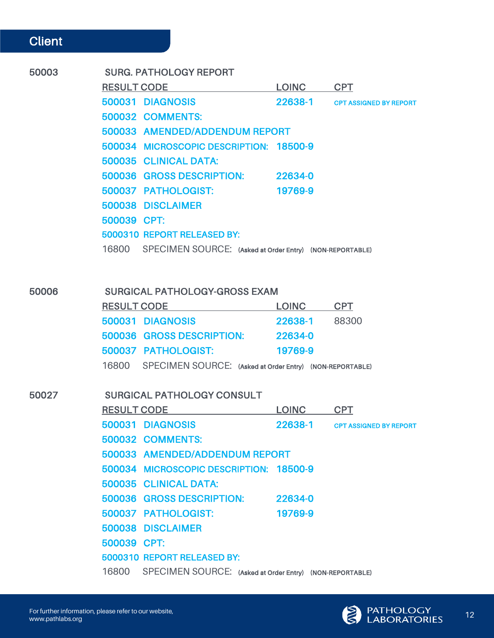| 50003 | <b>SURG. PATHOLOGY REPORT</b>                                  |               |                                |
|-------|----------------------------------------------------------------|---------------|--------------------------------|
|       | RESULT CODE LOINC CPT                                          |               |                                |
|       | 500031 DIAGNOSIS                                               |               | 22638-1 CPT ASSIGNED BY REPORT |
|       | <b>500032 COMMENTS:</b>                                        |               |                                |
|       | 500033 AMENDED/ADDENDUM REPORT                                 |               |                                |
|       | 500034 MICROSCOPIC DESCRIPTION: 18500-9                        |               |                                |
|       | 500035 CLINICAL DATA:                                          |               |                                |
|       | 500036 GROSS DESCRIPTION: 22634-0                              |               |                                |
|       | 500037 PATHOLOGIST:                                            | 19769-9       |                                |
|       | 500038 DISCLAIMER                                              |               |                                |
|       | 500039 CPT:                                                    |               |                                |
|       | 5000310 REPORT RELEASED BY:                                    |               |                                |
|       | 16800 SPECIMEN SOURCE: (Asked at Order Entry) (NON-REPORTABLE) |               |                                |
|       |                                                                |               |                                |
|       |                                                                |               |                                |
| 50006 | <b>SURGICAL PATHOLOGY-GROSS EXAM</b>                           |               |                                |
|       | RESULT CODE LOINC CPT                                          |               |                                |
|       | 500031 DIAGNOSIS                                               | 22638-1 88300 |                                |
|       | 500036 GROSS DESCRIPTION:                                      | 22634-0       |                                |
|       | 500037 PATHOLOGIST:                                            | 19769-9       |                                |
|       | 16800 SPECIMEN SOURCE: (Asked at Order Entry) (NON-REPORTABLE) |               |                                |
|       |                                                                |               |                                |
| 50027 | <b>SURGICAL PATHOLOGY CONSULT</b>                              |               |                                |
|       | <b>RESULT CODE</b>                                             | <u>LOINC</u>  | <b>CPT</b>                     |
|       | 500031 DIAGNOSIS                                               |               | 22638-1 CPT ASSIGNED BY REPORT |
|       | <b>500032 COMMENTS:</b>                                        |               |                                |
|       | 500033 AMENDED/ADDENDUM REPORT                                 |               |                                |
|       | 500034 MICROSCOPIC DESCRIPTION: 18500-9                        |               |                                |
|       | 500035 CLINICAL DATA:                                          |               |                                |
|       | 500036 GROSS DESCRIPTION: 22634-0                              |               |                                |
|       | 500037 PATHOLOGIST:                                            | 19769-9       |                                |
|       | 500038 DISCLAIMER                                              |               |                                |
|       | 500039 CPT:                                                    |               |                                |
|       | 5000310 REPORT RELEASED BY:                                    |               |                                |

16800 SPECIMEN SOURCE: (Asked at Order Entry) (NON-REPORTABLE)